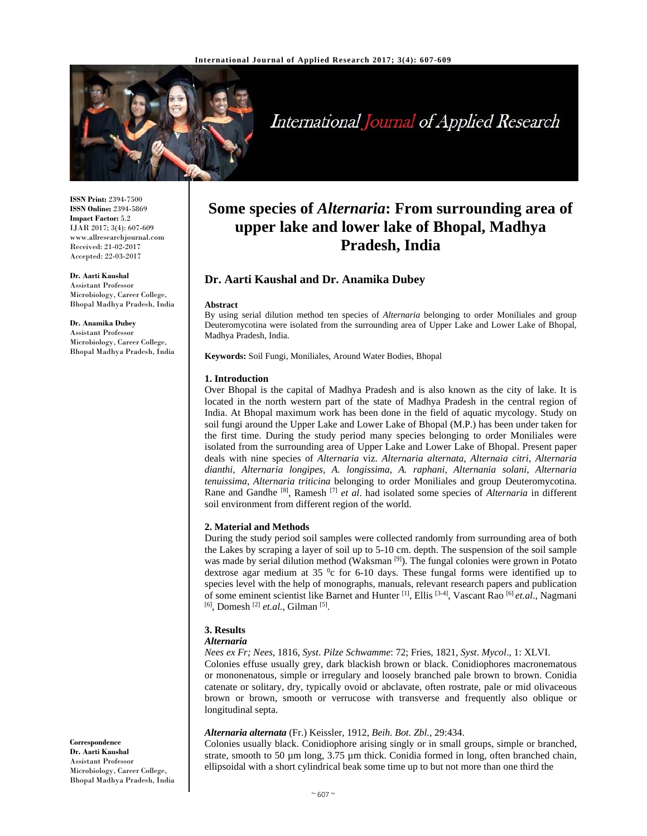

# International Journal of Applied Research

**ISSN Print:** 2394-7500 **ISSN Online:** 2394-5869 **Impact Factor:** 5.2 IJAR 2017; 3(4): 607-609 www.allresearchjournal.com Received: 21-02-2017 Accepted: 22-03-2017

#### **Dr. Aarti Kaushal**

Assistant Professor Microbiology, Career College, Bhopal Madhya Pradesh, India

**Dr. Anamika Dubey**  Assistant Professor

Microbiology, Career College, Bhopal Madhya Pradesh, India

## **Some species of** *Alternaria***: From surrounding area of upper lake and lower lake of Bhopal, Madhya Pradesh, India**

## **Dr. Aarti Kaushal and Dr. Anamika Dubey**

#### **Abstract**

By using serial dilution method ten species of *Alternaria* belonging to order Moniliales and group Deuteromycotina were isolated from the surrounding area of Upper Lake and Lower Lake of Bhopal, Madhya Pradesh, India.

**Keywords:** Soil Fungi*,* Moniliales*,* Around Water Bodies, Bhopal

#### **1. Introduction**

Over Bhopal is the capital of Madhya Pradesh and is also known as the city of lake. It is located in the north western part of the state of Madhya Pradesh in the central region of India. At Bhopal maximum work has been done in the field of aquatic mycology. Study on soil fungi around the Upper Lake and Lower Lake of Bhopal (M.P.) has been under taken for the first time. During the study period many species belonging to order Moniliales were isolated from the surrounding area of Upper Lake and Lower Lake of Bhopal. Present paper deals with nine species of *Alternaria* viz. *Alternaria alternata, Alternaia citri*, *Alternaria dianthi, Alternaria longipes, A. longissima, A. raphani, Alternania solani, Alternaria tenuissima*, *Alternaria triticina* belonging to order Moniliales and group Deuteromycotina. Rane and Gandhe [8], Ramesh [7] *et al*. had isolated some species of *Alternaria* in different soil environment from different region of the world.

#### **2. Material and Methods**

During the study period soil samples were collected randomly from surrounding area of both the Lakes by scraping a layer of soil up to 5-10 cm. depth. The suspension of the soil sample was made by serial dilution method (Waksman <sup>[9]</sup>). The fungal colonies were grown in Potato dextrose agar medium at 35  $\degree$ c for 6-10 days. These fungal forms were identified up to species level with the help of monographs, manuals, relevant research papers and publication of some eminent scientist like Barnet and Hunter [1], Ellis [3-4], Vascant Rao [6] *et.al*., Nagmani [6], Domesh [2] *et.al.*, Gilman [5].

## **3. Results**

#### *Alternaria*

*Nees ex Fr; Nees*, 1816, *Syst*. *Pilze Schwamme*: 72; Fries, 1821, *Syst*. *Mycol*., 1: XLVI.

Colonies effuse usually grey, dark blackish brown or black. Conidiophores macronematous or mononenatous, simple or irregulary and loosely branched pale brown to brown. Conidia catenate or solitary, dry, typically ovoid or abclavate, often rostrate, pale or mid olivaceous brown or brown, smooth or verrucose with transverse and frequently also oblique or longitudinal septa.

## *Alternaria alternata* (Fr.) Keissler, 1912, *Beih. Bot. Zbl.,* 29:434.

Colonies usually black. Conidiophore arising singly or in small groups, simple or branched, strate, smooth to 50  $\mu$ m long, 3.75  $\mu$ m thick. Conidia formed in long, often branched chain, ellipsoidal with a short cylindrical beak some time up to but not more than one third the

**Correspondence Dr. Aarti Kaushal**  Assistant Professor Microbiology, Career College, Bhopal Madhya Pradesh, India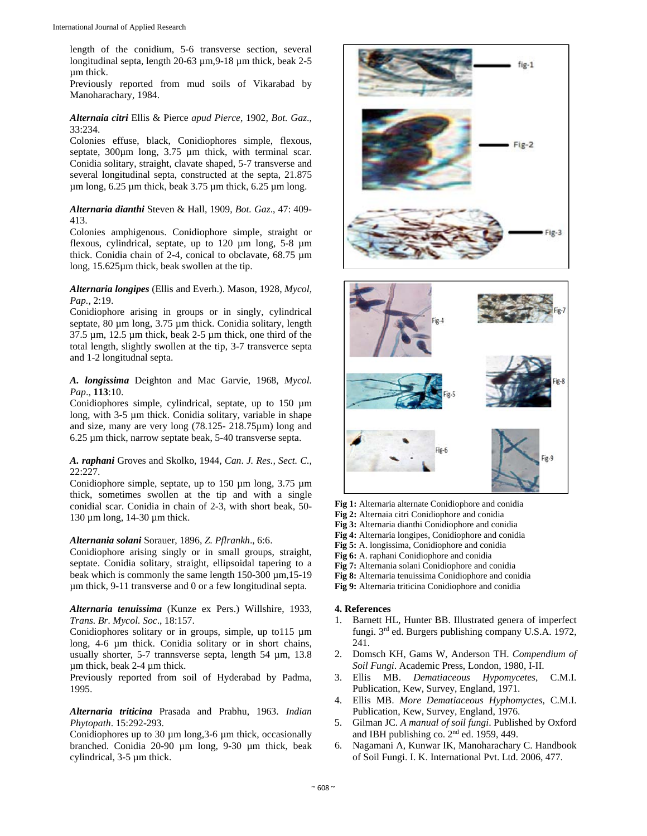length of the conidium, 5-6 transverse section, several longitudinal septa, length 20-63 µm,9-18 µm thick, beak 2-5 µm thick.

Previously reported from mud soils of Vikarabad by Manoharachary, 1984.

## *Alternaia citri* Ellis & Pierce *apud Pierce*, 1902, *Bot. Gaz*., 33:234.

Colonies effuse, black, Conidiophores simple, flexous, septate, 300 $\mu$ m long, 3.75  $\mu$ m thick, with terminal scar. Conidia solitary, straight, clavate shaped, 5-7 transverse and several longitudinal septa, constructed at the septa, 21.875  $\mu$ m long, 6.25  $\mu$ m thick, beak 3.75  $\mu$ m thick, 6.25  $\mu$ m long.

## *Alternaria dianthi* Steven & Hall, 1909, *Bot. Gaz*., 47: 409- 413.

Colonies amphigenous. Conidiophore simple, straight or flexous, cylindrical, septate, up to 120 µm long, 5-8 µm thick. Conidia chain of 2-4, conical to obclavate, 68.75 µm long, 15.625µm thick, beak swollen at the tip.

## *Alternaria longipes* (Ellis and Everh.). Mason, 1928, *Mycol, Pap.,* 2:19.

Conidiophore arising in groups or in singly, cylindrical septate,  $80 \mu m$  long,  $3.75 \mu m$  thick. Conidia solitary, length  $37.5 \mu m$ ,  $12.5 \mu m$  thick, beak  $2-5 \mu m$  thick, one third of the total length, slightly swollen at the tip, 3-7 transverce septa and 1-2 longitudnal septa.

*A. longissima* Deighton and Mac Garvie, 1968, *Mycol. Pap*., **113**:10.

Conidiophores simple, cylindrical, septate, up to  $150 \mu m$ long, with 3-5 µm thick. Conidia solitary, variable in shape and size, many are very long (78.125- 218.75µm) long and 6.25 µm thick, narrow septate beak, 5-40 transverse septa.

*A. raphani* Groves and Skolko, 1944, *Can*. *J. Res., Sect. C.,*  22:227.

Conidiophore simple, septate, up to 150  $\mu$ m long, 3.75  $\mu$ m thick, sometimes swollen at the tip and with a single conidial scar. Conidia in chain of 2-3, with short beak, 50- 130 µm long, 14-30 µm thick.

## *Alternania solani* Sorauer, 1896, *Z. Pflrankh*., 6:6.

Conidiophore arising singly or in small groups, straight, septate. Conidia solitary, straight, ellipsoidal tapering to a beak which is commonly the same length  $150-300 \,\mu m$ ,  $15-19$ µm thick, 9-11 transverse and 0 or a few longitudinal septa.

## *Alternaria tenuissima* (Kunze ex Pers.) Willshire, 1933, *Trans. Br. Mycol. Soc*., 18:157.

Conidiophores solitary or in groups, simple, up to115 µm long, 4-6 µm thick. Conidia solitary or in short chains, usually shorter, 5-7 trannsverse septa, length 54 µm, 13.8 µm thick, beak 2-4 µm thick.

Previously reported from soil of Hyderabad by Padma, 1995.

*Alternaria triticina* Prasada and Prabhu, 1963. *Indian Phytopath*. 15:292-293.

Conidiophores up to 30 µm long,3-6 µm thick, occasionally branched. Conidia 20-90 µm long, 9-30 µm thick, beak cylindrical, 3-5 µm thick.





- **Fig 1:** Alternaria alternate Conidiophore and conidia
- **Fig 2:** Alternaia citri Conidiophore and conidia
- **Fig 3:** Alternaria dianthi Conidiophore and conidia
- **Fig 4:** Alternaria longipes, Conidiophore and conidia
- **Fig 5:** A. longissima, Conidiophore and conidia
- **Fig 6:** A. raphani Conidiophore and conidia
- **Fig 7:** Alternania solani Conidiophore and conidia
- **Fig 8:** Alternaria tenuissima Conidiophore and conidia
- **Fig 9:** Alternaria triticina Conidiophore and conidia

## **4. References**

- 1. Barnett HL, Hunter BB. Illustrated genera of imperfect fungi. 3rd ed. Burgers publishing company U.S.A. 1972, 241.
- 2. Domsch KH, Gams W, Anderson TH. *Compendium of Soil Fungi*. Academic Press, London, 1980, I-II.
- 3. Ellis MB. *Dematiaceous Hypomycetes*, C.M.I. Publication, Kew, Survey, England, 1971.
- 4. Ellis MB. *More Dematiaceous Hyphomyctes*, C.M.I. Publication, Kew, Survey, England, 1976.
- 5. Gilman JC. *A manual of soil fungi*. Published by Oxford and IBH publishing co. 2nd ed. 1959, 449.
- 6. Nagamani A, Kunwar IK, Manoharachary C. Handbook of Soil Fungi. I. K. International Pvt. Ltd. 2006, 477.